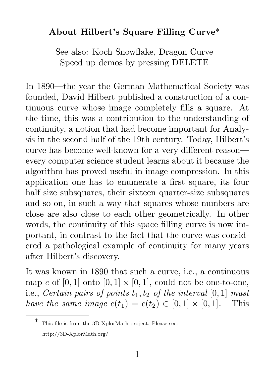## About Hilbert's Square Filling Curve\*

See also: Koch Snowflake, Dragon Curve Speed up demos by pressing DELETE

In 1890—the year the German Mathematical Society was founded, David Hilbert published a construction of a continuous curve whose image completely fills a square. At the time, this was a contribution to the understanding of continuity, a notion that had become important for Analysis in the second half of the 19th century. Today, Hilbert's curve has become well-known for a very different reason every computer science student learns about it because the algorithm has proved useful in image compression. In this application one has to enumerate a first square, its four half size subsquares, their sixteen quarter-size subsquares and so on, in such a way that squares whose numbers are close are also close to each other geometrically. In other words, the continuity of this space filling curve is now important, in contrast to the fact that the curve was considered a pathological example of continuity for many years after Hilbert's discovery.

It was known in 1890 that such a curve, i.e., a continuous map c of  $[0, 1]$  onto  $[0, 1] \times [0, 1]$ , could not be one-to-one, i.e., Certain pairs of points  $t_1, t_2$  of the interval  $[0, 1]$  must have the same image  $c(t_1) = c(t_2) \in [0,1] \times [0,1]$ . This

This file is from the 3D-XplorMath project. Please see: http://3D-XplorMath.org/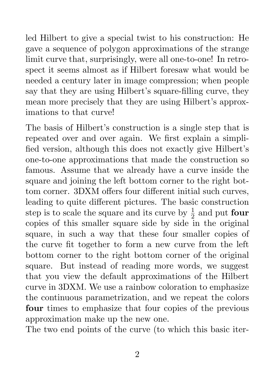led Hilbert to give a special twist to his construction: He gave a sequence of polygon approximations of the strange limit curve that, surprisingly, were all one-to-one! In retrospect it seems almost as if Hilbert foresaw what would be needed a century later in image compression; when people say that they are using Hilbert's square-filling curve, they mean more precisely that they are using Hilbert's approximations to that curve!

The basis of Hilbert's construction is a single step that is repeated over and over again. We first explain a simplified version, although this does not exactly give Hilbert's one-to-one approximations that made the construction so famous. Assume that we already have a curve inside the square and joining the left bottom corner to the right bottom corner. 3DXM offers four different initial such curves, leading to quite different pictures. The basic construction step is to scale the square and its curve by  $\frac{1}{2}$  and put **four** copies of this smaller square side by side in the original square, in such a way that these four smaller copies of the curve fit together to form a new curve from the left bottom corner to the right bottom corner of the original square. But instead of reading more words, we suggest that you view the default approximations of the Hilbert curve in 3DXM. We use a rainbow coloration to emphasize the continuous parametrization, and we repeat the colors four times to emphasize that four copies of the previous approximation make up the new one.

The two end points of the curve (to which this basic iter-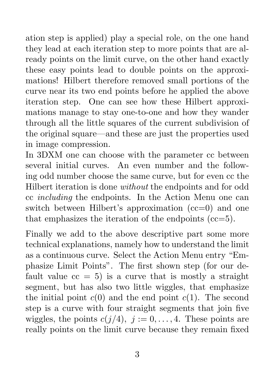ation step is applied) play a special role, on the one hand they lead at each iteration step to more points that are already points on the limit curve, on the other hand exactly these easy points lead to double points on the approximations! Hilbert therefore removed small portions of the curve near its two end points before he applied the above iteration step. One can see how these Hilbert approximations manage to stay one-to-one and how they wander through all the little squares of the current subdivision of the original square—and these are just the properties used in image compression.

In 3DXM one can choose with the parameter cc between several initial curves. An even number and the following odd number choose the same curve, but for even cc the Hilbert iteration is done without the endpoints and for odd cc including the endpoints. In the Action Menu one can switch between Hilbert's approximation (cc=0) and one that emphasizes the iteration of the endpoints (cc=5).

Finally we add to the above descriptive part some more technical explanations, namely how to understand the limit as a continuous curve. Select the Action Menu entry "Emphasize Limit Points". The first shown step (for our default value  $cc = 5$ ) is a curve that is mostly a straight segment, but has also two little wiggles, that emphasize the initial point  $c(0)$  and the end point  $c(1)$ . The second step is a curve with four straight segments that join five wiggles, the points  $c(j/4)$ ,  $j := 0, \ldots, 4$ . These points are really points on the limit curve because they remain fixed